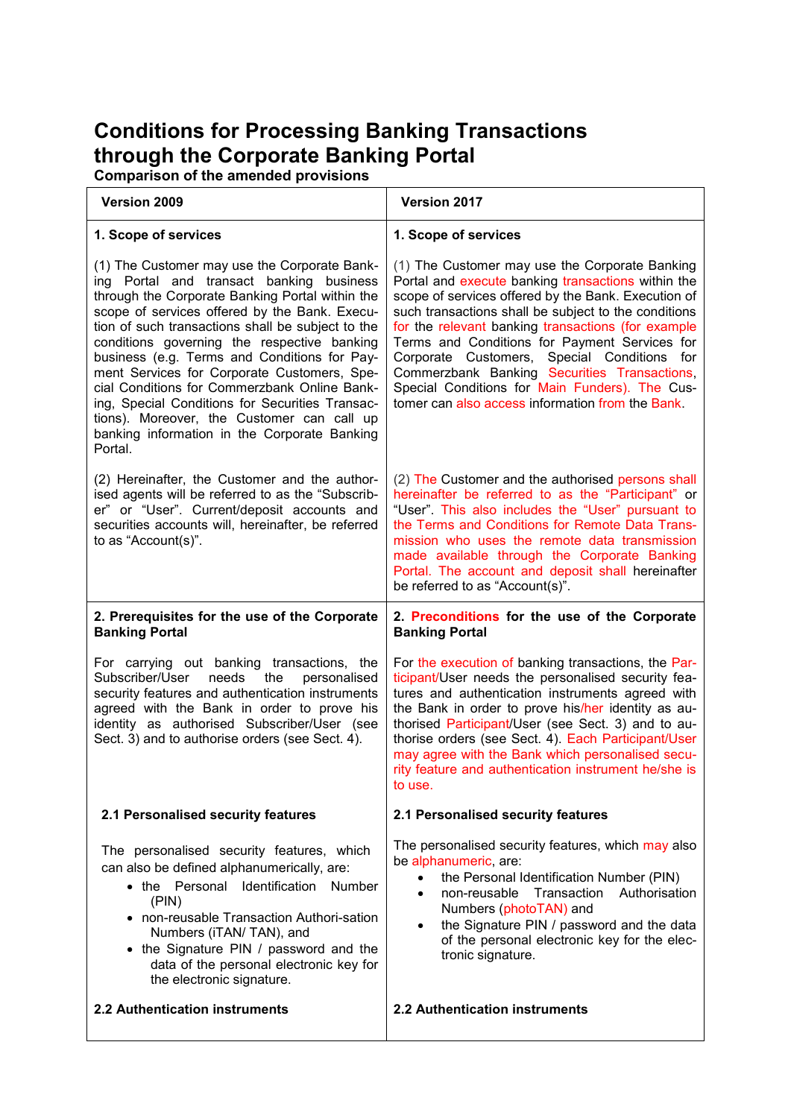# **Conditions for Processing Banking Transactions through the Corporate Banking Portal**

**Comparison of the amended provisions**

| Version 2009                                                                                                                                                                                                                                                                                                                                                                                                                                                                                                                                                                                                | Version 2017                                                                                                                                                                                                                                                                                                                                                                                                                                                                                                                    |
|-------------------------------------------------------------------------------------------------------------------------------------------------------------------------------------------------------------------------------------------------------------------------------------------------------------------------------------------------------------------------------------------------------------------------------------------------------------------------------------------------------------------------------------------------------------------------------------------------------------|---------------------------------------------------------------------------------------------------------------------------------------------------------------------------------------------------------------------------------------------------------------------------------------------------------------------------------------------------------------------------------------------------------------------------------------------------------------------------------------------------------------------------------|
| 1. Scope of services                                                                                                                                                                                                                                                                                                                                                                                                                                                                                                                                                                                        | 1. Scope of services                                                                                                                                                                                                                                                                                                                                                                                                                                                                                                            |
| (1) The Customer may use the Corporate Bank-<br>ing Portal and transact banking business<br>through the Corporate Banking Portal within the<br>scope of services offered by the Bank. Execu-<br>tion of such transactions shall be subject to the<br>conditions governing the respective banking<br>business (e.g. Terms and Conditions for Pay-<br>ment Services for Corporate Customers, Spe-<br>cial Conditions for Commerzbank Online Bank-<br>ing, Special Conditions for Securities Transac-<br>tions). Moreover, the Customer can call up<br>banking information in the Corporate Banking<br>Portal. | (1) The Customer may use the Corporate Banking<br>Portal and execute banking transactions within the<br>scope of services offered by the Bank. Execution of<br>such transactions shall be subject to the conditions<br>for the relevant banking transactions (for example<br>Terms and Conditions for Payment Services for<br>Corporate Customers, Special Conditions for<br>Commerzbank Banking Securities Transactions,<br>Special Conditions for Main Funders). The Cus-<br>tomer can also access information from the Bank. |
| (2) Hereinafter, the Customer and the author-<br>ised agents will be referred to as the "Subscrib-<br>er" or "User". Current/deposit accounts and<br>securities accounts will, hereinafter, be referred<br>to as "Account(s)".                                                                                                                                                                                                                                                                                                                                                                              | (2) The Customer and the authorised persons shall<br>hereinafter be referred to as the "Participant" or<br>"User". This also includes the "User" pursuant to<br>the Terms and Conditions for Remote Data Trans-<br>mission who uses the remote data transmission<br>made available through the Corporate Banking<br>Portal. The account and deposit shall hereinafter<br>be referred to as "Account(s)".                                                                                                                        |
| 2. Prerequisites for the use of the Corporate<br><b>Banking Portal</b>                                                                                                                                                                                                                                                                                                                                                                                                                                                                                                                                      | 2. Preconditions for the use of the Corporate<br><b>Banking Portal</b>                                                                                                                                                                                                                                                                                                                                                                                                                                                          |
| For carrying out banking transactions, the<br>Subscriber/User<br>needs<br>the<br>personalised<br>security features and authentication instruments<br>agreed with the Bank in order to prove his<br>identity as authorised Subscriber/User (see<br>Sect. 3) and to authorise orders (see Sect. 4).                                                                                                                                                                                                                                                                                                           | For the execution of banking transactions, the Par-<br>ticipant/User needs the personalised security fea-<br>tures and authentication instruments agreed with<br>the Bank in order to prove his/her identity as au-<br>thorised Participant/User (see Sect. 3) and to au-<br>thorise orders (see Sect. 4). Each Participant/User<br>may agree with the Bank which personalised secu-<br>rity feature and authentication instrument he/she is<br>to use.                                                                         |
| 2.1 Personalised security features                                                                                                                                                                                                                                                                                                                                                                                                                                                                                                                                                                          | 2.1 Personalised security features                                                                                                                                                                                                                                                                                                                                                                                                                                                                                              |
| The personalised security features, which<br>can also be defined alphanumerically, are:<br>• the Personal Identification Number<br>(PIN)<br>• non-reusable Transaction Authori-sation<br>Numbers (iTAN/TAN), and<br>• the Signature PIN / password and the<br>data of the personal electronic key for<br>the electronic signature.                                                                                                                                                                                                                                                                          | The personalised security features, which may also<br>be alphanumeric, are:<br>the Personal Identification Number (PIN)<br>$\bullet$<br>non-reusable<br>Transaction<br>Authorisation<br>$\bullet$<br>Numbers (photoTAN) and<br>the Signature PIN / password and the data<br>$\bullet$<br>of the personal electronic key for the elec-<br>tronic signature.                                                                                                                                                                      |
| 2.2 Authentication instruments                                                                                                                                                                                                                                                                                                                                                                                                                                                                                                                                                                              | 2.2 Authentication instruments                                                                                                                                                                                                                                                                                                                                                                                                                                                                                                  |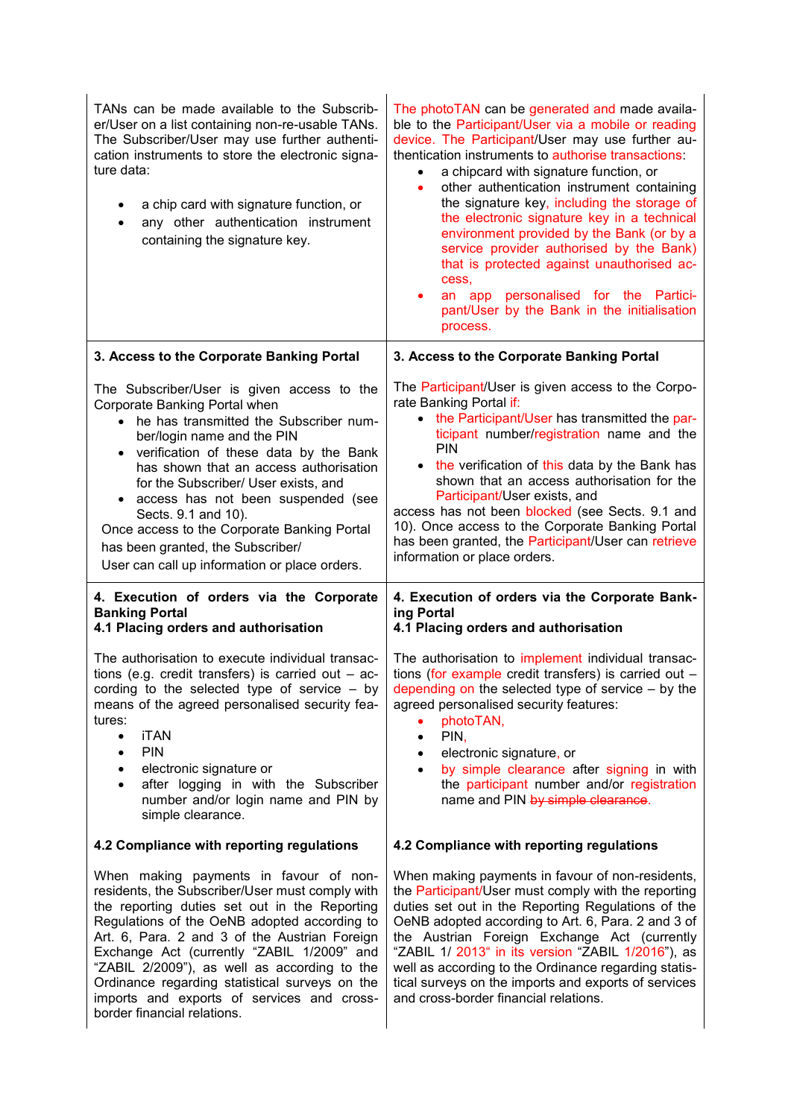| TANs can be made available to the Subscrib-<br>er/User on a list containing non-re-usable TANs.<br>The Subscriber/User may use further authenti-<br>cation instruments to store the electronic signa-<br>ture data:<br>a chip card with signature function, or<br>any other authentication instrument<br>containing the signature key.                                                                                                                                            | The photoTAN can be generated and made availa-<br>ble to the Participant/User via a mobile or reading<br>device. The Participant/User may use further au-<br>thentication instruments to authorise transactions:<br>a chipcard with signature function, or<br>$\bullet$<br>other authentication instrument containing<br>$\bullet$<br>the signature key, including the storage of<br>the electronic signature key in a technical<br>environment provided by the Bank (or by a<br>service provider authorised by the Bank)<br>that is protected against unauthorised ac-<br>cess,<br>an app personalised for the Partici-<br>٠<br>pant/User by the Bank in the initialisation<br>process. |
|-----------------------------------------------------------------------------------------------------------------------------------------------------------------------------------------------------------------------------------------------------------------------------------------------------------------------------------------------------------------------------------------------------------------------------------------------------------------------------------|------------------------------------------------------------------------------------------------------------------------------------------------------------------------------------------------------------------------------------------------------------------------------------------------------------------------------------------------------------------------------------------------------------------------------------------------------------------------------------------------------------------------------------------------------------------------------------------------------------------------------------------------------------------------------------------|
| 3. Access to the Corporate Banking Portal                                                                                                                                                                                                                                                                                                                                                                                                                                         | 3. Access to the Corporate Banking Portal                                                                                                                                                                                                                                                                                                                                                                                                                                                                                                                                                                                                                                                |
| The Subscriber/User is given access to the<br>Corporate Banking Portal when<br>he has transmitted the Subscriber num-<br>ber/login name and the PIN<br>verification of these data by the Bank<br>has shown that an access authorisation<br>for the Subscriber/ User exists, and<br>access has not been suspended (see<br>Sects. 9.1 and 10).<br>Once access to the Corporate Banking Portal<br>has been granted, the Subscriber/<br>User can call up information or place orders. | The Participant/User is given access to the Corpo-<br>rate Banking Portal if:<br>• the Participant/User has transmitted the par-<br>ticipant number/registration name and the<br><b>PIN</b><br>• the verification of this data by the Bank has<br>shown that an access authorisation for the<br>Participant/User exists, and<br>access has not been blocked (see Sects. 9.1 and<br>10). Once access to the Corporate Banking Portal<br>has been granted, the Participant/User can retrieve<br>information or place orders.                                                                                                                                                               |
| 4. Execution of orders via the Corporate<br><b>Banking Portal</b><br>4.1 Placing orders and authorisation                                                                                                                                                                                                                                                                                                                                                                         | 4. Execution of orders via the Corporate Bank-<br>ing Portal<br>4.1 Placing orders and authorisation                                                                                                                                                                                                                                                                                                                                                                                                                                                                                                                                                                                     |
| The authorisation to execute individual transac-<br>tions (e.g. credit transfers) is carried out $-$ ac-<br>cording to the selected type of service - by<br>means of the agreed personalised security fea-<br>tures:<br><b>iTAN</b><br>$\bullet$<br><b>PIN</b><br>$\bullet$<br>electronic signature or<br>$\bullet$<br>after logging in with the Subscriber<br>$\bullet$<br>number and/or login name and PIN by<br>simple clearance.                                              | The authorisation to implement individual transac-<br>tions (for example credit transfers) is carried out $-$<br>depending on the selected type of service $-$ by the<br>agreed personalised security features:<br>photoTAN,<br>$\bullet$<br>PIN,<br>$\bullet$<br>electronic signature, or<br>$\bullet$<br>by simple clearance after signing in with<br>$\bullet$<br>the participant number and/or registration<br>name and PIN by simple clearance.                                                                                                                                                                                                                                     |
| 4.2 Compliance with reporting regulations                                                                                                                                                                                                                                                                                                                                                                                                                                         | 4.2 Compliance with reporting regulations                                                                                                                                                                                                                                                                                                                                                                                                                                                                                                                                                                                                                                                |
| When making payments in favour of non-<br>residents, the Subscriber/User must comply with<br>the reporting duties set out in the Reporting<br>Regulations of the OeNB adopted according to<br>Art. 6, Para. 2 and 3 of the Austrian Foreign<br>Exchange Act (currently "ZABIL 1/2009" and<br>"ZABIL 2/2009"), as well as according to the<br>Ordinance regarding statistical surveys on the<br>imports and exports of services and cross-<br>border financial relations.          | When making payments in favour of non-residents,<br>the Participant/User must comply with the reporting<br>duties set out in the Reporting Regulations of the<br>OeNB adopted according to Art. 6, Para. 2 and 3 of<br>the Austrian Foreign Exchange Act (currently<br>"ZABIL 1/ 2013" in its version "ZABIL 1/2016"), as<br>well as according to the Ordinance regarding statis-<br>tical surveys on the imports and exports of services<br>and cross-border financial relations.                                                                                                                                                                                                       |

 $\overline{\phantom{a}}$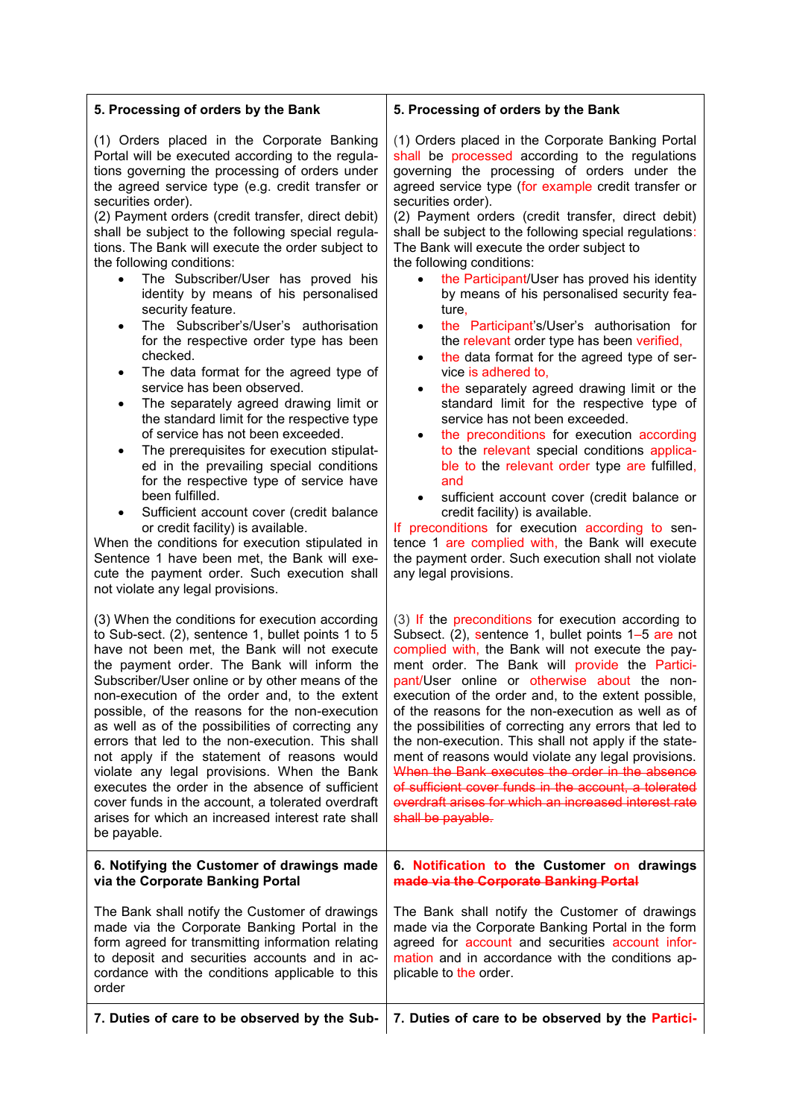| 5. Processing of orders by the Bank                                                                                                                                                                                                                                                                                                                                                                                                                                                                                                                                                                                                                                                                                                                                                                                                                                                                                                                                                                                                                                                                                                                                                                                                                                                                                  | 5. Processing of orders by the Bank                                                                                                                                                                                                                                                                                                                                                                                                                                                                                                                                                                                                                                                                                                                                                                                                                                                                                                                                                                                                                                                                                                                                                                                                                                                                              |
|----------------------------------------------------------------------------------------------------------------------------------------------------------------------------------------------------------------------------------------------------------------------------------------------------------------------------------------------------------------------------------------------------------------------------------------------------------------------------------------------------------------------------------------------------------------------------------------------------------------------------------------------------------------------------------------------------------------------------------------------------------------------------------------------------------------------------------------------------------------------------------------------------------------------------------------------------------------------------------------------------------------------------------------------------------------------------------------------------------------------------------------------------------------------------------------------------------------------------------------------------------------------------------------------------------------------|------------------------------------------------------------------------------------------------------------------------------------------------------------------------------------------------------------------------------------------------------------------------------------------------------------------------------------------------------------------------------------------------------------------------------------------------------------------------------------------------------------------------------------------------------------------------------------------------------------------------------------------------------------------------------------------------------------------------------------------------------------------------------------------------------------------------------------------------------------------------------------------------------------------------------------------------------------------------------------------------------------------------------------------------------------------------------------------------------------------------------------------------------------------------------------------------------------------------------------------------------------------------------------------------------------------|
| (1) Orders placed in the Corporate Banking<br>Portal will be executed according to the regula-<br>tions governing the processing of orders under<br>the agreed service type (e.g. credit transfer or<br>securities order).<br>(2) Payment orders (credit transfer, direct debit)<br>shall be subject to the following special regula-<br>tions. The Bank will execute the order subject to<br>the following conditions:<br>The Subscriber/User has proved his<br>$\bullet$<br>identity by means of his personalised<br>security feature.<br>The Subscriber's/User's authorisation<br>$\bullet$<br>for the respective order type has been<br>checked.<br>The data format for the agreed type of<br>٠<br>service has been observed.<br>The separately agreed drawing limit or<br>٠<br>the standard limit for the respective type<br>of service has not been exceeded.<br>The prerequisites for execution stipulat-<br>٠<br>ed in the prevailing special conditions<br>for the respective type of service have<br>been fulfilled.<br>Sufficient account cover (credit balance<br>$\bullet$<br>or credit facility) is available.<br>When the conditions for execution stipulated in<br>Sentence 1 have been met, the Bank will exe-<br>cute the payment order. Such execution shall<br>not violate any legal provisions. | (1) Orders placed in the Corporate Banking Portal<br>shall be processed according to the regulations<br>governing the processing of orders under the<br>agreed service type (for example credit transfer or<br>securities order).<br>(2) Payment orders (credit transfer, direct debit)<br>shall be subject to the following special regulations:<br>The Bank will execute the order subject to<br>the following conditions:<br>the Participant/User has proved his identity<br>by means of his personalised security fea-<br>ture,<br>the Participant's/User's authorisation for<br>$\bullet$<br>the relevant order type has been verified,<br>the data format for the agreed type of ser-<br>$\bullet$<br>vice is adhered to.<br>the separately agreed drawing limit or the<br>٠<br>standard limit for the respective type of<br>service has not been exceeded.<br>the preconditions for execution according<br>٠<br>to the relevant special conditions applica-<br>ble to the relevant order type are fulfilled,<br>and<br>sufficient account cover (credit balance or<br>$\bullet$<br>credit facility) is available.<br>If preconditions for execution according to sen-<br>tence 1 are complied with, the Bank will execute<br>the payment order. Such execution shall not violate<br>any legal provisions. |
| (3) When the conditions for execution according<br>to Sub-sect. (2), sentence 1, bullet points 1 to 5<br>have not been met, the Bank will not execute<br>the payment order. The Bank will inform the<br>Subscriber/User online or by other means of the<br>non-execution of the order and, to the extent<br>possible, of the reasons for the non-execution<br>as well as of the possibilities of correcting any<br>errors that led to the non-execution. This shall<br>not apply if the statement of reasons would<br>violate any legal provisions. When the Bank<br>executes the order in the absence of sufficient<br>cover funds in the account, a tolerated overdraft<br>arises for which an increased interest rate shall<br>be payable.                                                                                                                                                                                                                                                                                                                                                                                                                                                                                                                                                                        | (3) If the preconditions for execution according to<br>Subsect. (2), sentence 1, bullet points 1-5 are not<br>complied with, the Bank will not execute the pay-<br>ment order. The Bank will provide the Partici-<br>pant/User online or otherwise about the non-<br>execution of the order and, to the extent possible,<br>of the reasons for the non-execution as well as of<br>the possibilities of correcting any errors that led to<br>the non-execution. This shall not apply if the state-<br>ment of reasons would violate any legal provisions.<br>When the Bank executes the order in the absence<br>of sufficient cover funds in the account, a tolerated<br>overdraft arises for which an increased interest rate<br>shall be payable.                                                                                                                                                                                                                                                                                                                                                                                                                                                                                                                                                               |
| 6. Notifying the Customer of drawings made<br>via the Corporate Banking Portal                                                                                                                                                                                                                                                                                                                                                                                                                                                                                                                                                                                                                                                                                                                                                                                                                                                                                                                                                                                                                                                                                                                                                                                                                                       | 6. Notification to the Customer on drawings<br>made via the Corporate Banking Portal                                                                                                                                                                                                                                                                                                                                                                                                                                                                                                                                                                                                                                                                                                                                                                                                                                                                                                                                                                                                                                                                                                                                                                                                                             |
| The Bank shall notify the Customer of drawings<br>made via the Corporate Banking Portal in the<br>form agreed for transmitting information relating<br>to deposit and securities accounts and in ac-<br>cordance with the conditions applicable to this<br>order                                                                                                                                                                                                                                                                                                                                                                                                                                                                                                                                                                                                                                                                                                                                                                                                                                                                                                                                                                                                                                                     | The Bank shall notify the Customer of drawings<br>made via the Corporate Banking Portal in the form<br>agreed for account and securities account infor-<br>mation and in accordance with the conditions ap-<br>plicable to the order.                                                                                                                                                                                                                                                                                                                                                                                                                                                                                                                                                                                                                                                                                                                                                                                                                                                                                                                                                                                                                                                                            |
| 7. Duties of care to be observed by the Sub-                                                                                                                                                                                                                                                                                                                                                                                                                                                                                                                                                                                                                                                                                                                                                                                                                                                                                                                                                                                                                                                                                                                                                                                                                                                                         | 7. Duties of care to be observed by the Partici-                                                                                                                                                                                                                                                                                                                                                                                                                                                                                                                                                                                                                                                                                                                                                                                                                                                                                                                                                                                                                                                                                                                                                                                                                                                                 |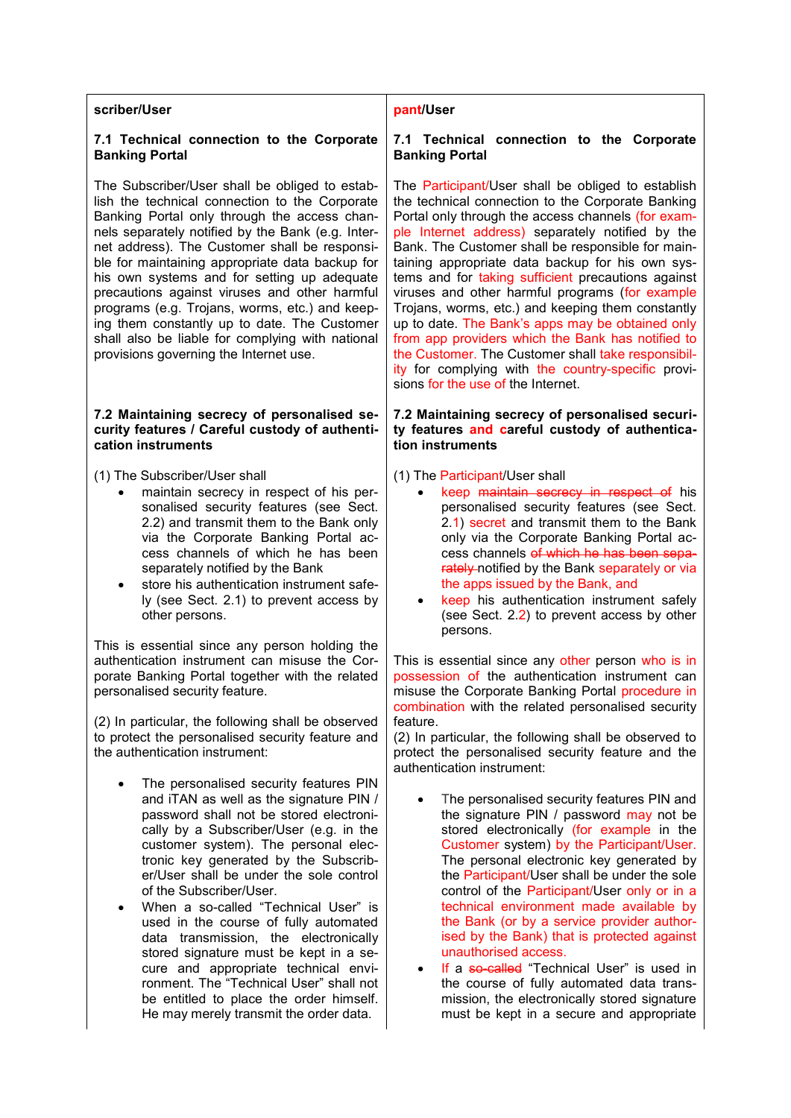| scriber/User                                                                                                                                                                                                                                                                                                                                                                                                                                                                                                                                                                                                                                                                                 | pant/User                                                                                                                                                                                                                                                                                                                                                                                                                                                                                                                                                                                                                                                                                                                                           |
|----------------------------------------------------------------------------------------------------------------------------------------------------------------------------------------------------------------------------------------------------------------------------------------------------------------------------------------------------------------------------------------------------------------------------------------------------------------------------------------------------------------------------------------------------------------------------------------------------------------------------------------------------------------------------------------------|-----------------------------------------------------------------------------------------------------------------------------------------------------------------------------------------------------------------------------------------------------------------------------------------------------------------------------------------------------------------------------------------------------------------------------------------------------------------------------------------------------------------------------------------------------------------------------------------------------------------------------------------------------------------------------------------------------------------------------------------------------|
| 7.1 Technical connection to the Corporate<br><b>Banking Portal</b>                                                                                                                                                                                                                                                                                                                                                                                                                                                                                                                                                                                                                           | 7.1 Technical connection to the Corporate<br><b>Banking Portal</b>                                                                                                                                                                                                                                                                                                                                                                                                                                                                                                                                                                                                                                                                                  |
| The Subscriber/User shall be obliged to estab-<br>lish the technical connection to the Corporate<br>Banking Portal only through the access chan-<br>nels separately notified by the Bank (e.g. Inter-<br>net address). The Customer shall be responsi-<br>ble for maintaining appropriate data backup for<br>his own systems and for setting up adequate<br>precautions against viruses and other harmful<br>programs (e.g. Trojans, worms, etc.) and keep-<br>ing them constantly up to date. The Customer<br>shall also be liable for complying with national<br>provisions governing the Internet use.                                                                                    | The Participant/User shall be obliged to establish<br>the technical connection to the Corporate Banking<br>Portal only through the access channels (for exam-<br>ple Internet address) separately notified by the<br>Bank. The Customer shall be responsible for main-<br>taining appropriate data backup for his own sys-<br>tems and for taking sufficient precautions against<br>viruses and other harmful programs (for example<br>Trojans, worms, etc.) and keeping them constantly<br>up to date. The Bank's apps may be obtained only<br>from app providers which the Bank has notified to<br>the Customer. The Customer shall take responsibil-<br>ity for complying with the country-specific provi-<br>sions for the use of the Internet. |
| 7.2 Maintaining secrecy of personalised se-<br>curity features / Careful custody of authenti-<br>cation instruments                                                                                                                                                                                                                                                                                                                                                                                                                                                                                                                                                                          | 7.2 Maintaining secrecy of personalised securi-<br>ty features and careful custody of authentica-<br>tion instruments                                                                                                                                                                                                                                                                                                                                                                                                                                                                                                                                                                                                                               |
| (1) The Subscriber/User shall<br>maintain secrecy in respect of his per-<br>sonalised security features (see Sect.<br>2.2) and transmit them to the Bank only<br>via the Corporate Banking Portal ac-<br>cess channels of which he has been<br>separately notified by the Bank<br>store his authentication instrument safe-<br>$\bullet$<br>ly (see Sect. 2.1) to prevent access by<br>other persons.<br>This is essential since any person holding the<br>authentication instrument can misuse the Cor-<br>porate Banking Portal together with the related<br>personalised security feature.                                                                                                | (1) The Participant/User shall<br>keep maintain secrecy in respect of his<br>personalised security features (see Sect.<br>2.1) secret and transmit them to the Bank<br>only via the Corporate Banking Portal ac-<br>cess channels of which he has been sepa-<br>rately notified by the Bank separately or via<br>the apps issued by the Bank, and<br>keep his authentication instrument safely<br>(see Sect. 2.2) to prevent access by other<br>persons.<br>This is essential since any other person who is in<br>possession of the authentication instrument can<br>misuse the Corporate Banking Portal procedure in                                                                                                                               |
| (2) In particular, the following shall be observed<br>to protect the personalised security feature and<br>the authentication instrument:                                                                                                                                                                                                                                                                                                                                                                                                                                                                                                                                                     | combination with the related personalised security<br>feature.<br>(2) In particular, the following shall be observed to<br>protect the personalised security feature and the<br>authentication instrument:                                                                                                                                                                                                                                                                                                                                                                                                                                                                                                                                          |
| The personalised security features PIN<br>$\bullet$<br>and iTAN as well as the signature PIN /<br>password shall not be stored electroni-<br>cally by a Subscriber/User (e.g. in the<br>customer system). The personal elec-<br>tronic key generated by the Subscrib-<br>er/User shall be under the sole control<br>of the Subscriber/User.<br>When a so-called "Technical User" is<br>٠<br>used in the course of fully automated<br>data transmission, the electronically<br>stored signature must be kept in a se-<br>cure and appropriate technical envi-<br>ronment. The "Technical User" shall not<br>be entitled to place the order himself.<br>He may merely transmit the order data. | The personalised security features PIN and<br>the signature PIN / password may not be<br>stored electronically (for example in the<br>Customer system) by the Participant/User.<br>The personal electronic key generated by<br>the Participant/User shall be under the sole<br>control of the Participant/User only or in a<br>technical environment made available by<br>the Bank (or by a service provider author-<br>ised by the Bank) that is protected against<br>unauthorised access.<br>If a so-called "Technical User" is used in<br>the course of fully automated data trans-<br>mission, the electronically stored signature<br>must be kept in a secure and appropriate                                                                  |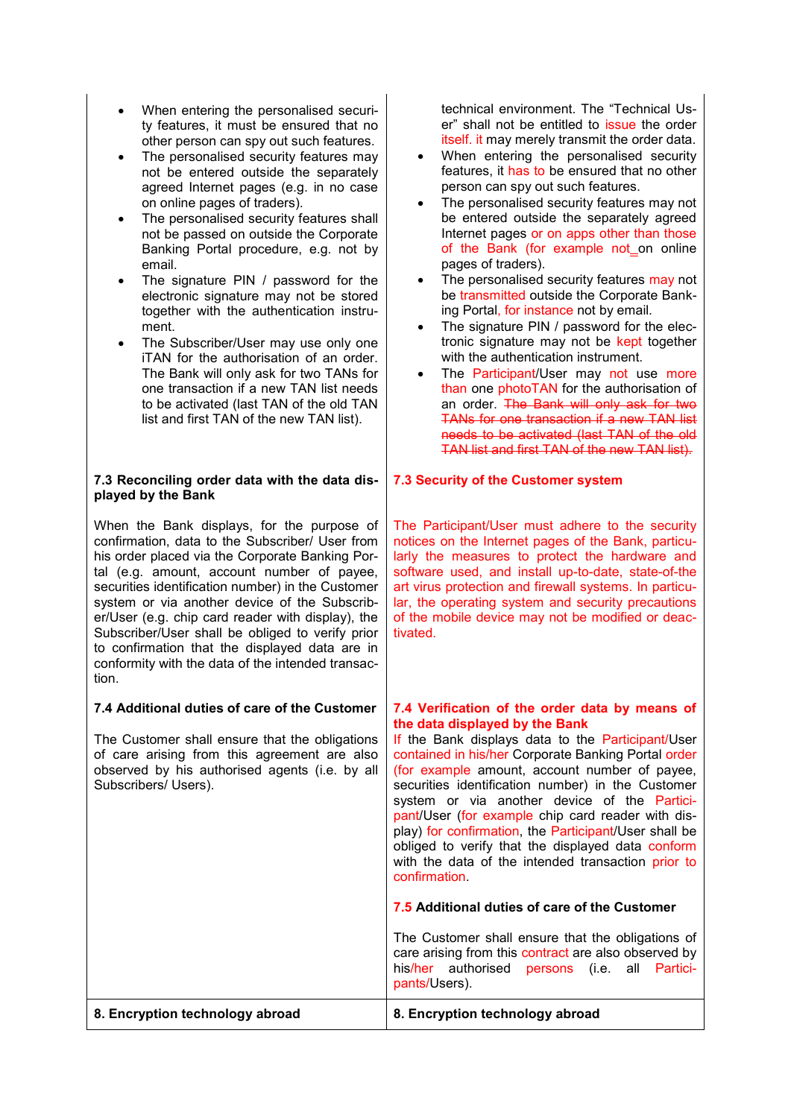- When entering the personalised security features, it must be ensured that no other person can spy out such features.
- The personalised security features may not be entered outside the separately agreed Internet pages (e.g. in no case on online pages of traders).
- The personalised security features shall not be passed on outside the Corporate Banking Portal procedure, e.g. not by email.
- The signature PIN / password for the electronic signature may not be stored together with the authentication instrument.
- The Subscriber/User may use only one iTAN for the authorisation of an order. The Bank will only ask for two TANs for one transaction if a new TAN list needs to be activated (last TAN of the old TAN list and first TAN of the new TAN list).

## **7.3 Reconciling order data with the data displayed by the Bank**

When the Bank displays, for the purpose of confirmation, data to the Subscriber/ User from his order placed via the Corporate Banking Portal (e.g. amount, account number of payee, securities identification number) in the Customer system or via another device of the Subscriber/User (e.g. chip card reader with display), the Subscriber/User shall be obliged to verify prior to confirmation that the displayed data are in conformity with the data of the intended transaction.

# **7.4 Additional duties of care of the Customer**

The Customer shall ensure that the obligations of care arising from this agreement are also observed by his authorised agents (i.e. by all Subscribers/ Users).

technical environment. The "Technical User" shall not be entitled to issue the order itself. it may merely transmit the order data.

- When entering the personalised security features, it has to be ensured that no other person can spy out such features.
- The personalised security features may not be entered outside the separately agreed Internet pages or on apps other than those of the Bank (for example not on online pages of traders).
- The personalised security features may not be transmitted outside the Corporate Banking Portal, for instance not by email.
- The signature PIN / password for the electronic signature may not be kept together with the authentication instrument.
- The Participant/User may not use more than one photoTAN for the authorisation of an order. The Bank will only ask for two TANs for one transaction if a new TAN list needs to be activated (last TAN of the old TAN list and first TAN of the new TAN list).

# **7.3 Security of the Customer system**

The Participant/User must adhere to the security notices on the Internet pages of the Bank, particularly the measures to protect the hardware and software used, and install up-to-date, state-of-the art virus protection and firewall systems. In particular, the operating system and security precautions of the mobile device may not be modified or deactivated.

#### **7.4 Verification of the order data by means of the data displayed by the Bank**

If the Bank displays data to the Participant/User contained in his/her Corporate Banking Portal order (for example amount, account number of payee, securities identification number) in the Customer system or via another device of the Participant/User (for example chip card reader with display) for confirmation, the Participant/User shall be obliged to verify that the displayed data conform with the data of the intended transaction prior to confirmation.

# **7.5 Additional duties of care of the Customer**

The Customer shall ensure that the obligations of care arising from this contract are also observed by his/her authorised persons (i.e. all Participants/Users).

| 8. Encryption technology abroad | 8. Encryption technology abroad |
|---------------------------------|---------------------------------|
|                                 |                                 |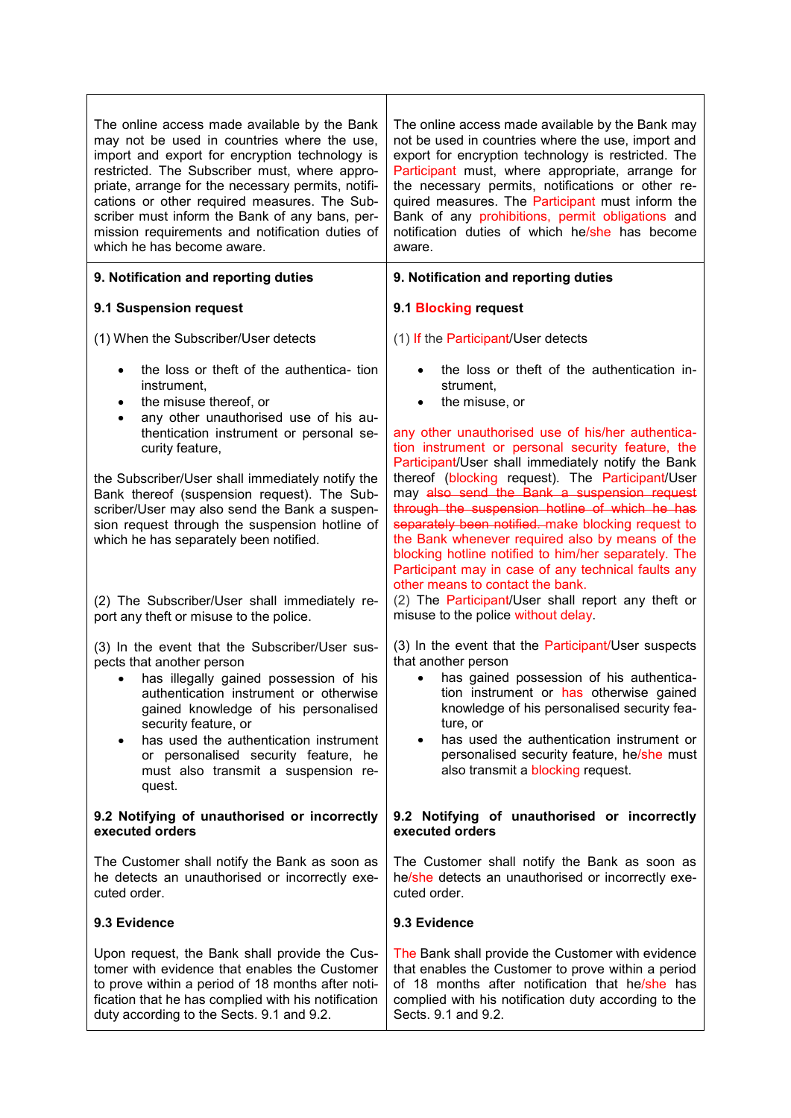| The online access made available by the Bank<br>may not be used in countries where the use,<br>import and export for encryption technology is<br>restricted. The Subscriber must, where appro-<br>priate, arrange for the necessary permits, notifi-<br>cations or other required measures. The Sub-<br>scriber must inform the Bank of any bans, per-<br>mission requirements and notification duties of<br>which he has become aware. | The online access made available by the Bank may<br>not be used in countries where the use, import and<br>export for encryption technology is restricted. The<br>Participant must, where appropriate, arrange for<br>the necessary permits, notifications or other re-<br>quired measures. The Participant must inform the<br>Bank of any prohibitions, permit obligations and<br>notification duties of which he/she has become<br>aware.                                                                                |
|-----------------------------------------------------------------------------------------------------------------------------------------------------------------------------------------------------------------------------------------------------------------------------------------------------------------------------------------------------------------------------------------------------------------------------------------|---------------------------------------------------------------------------------------------------------------------------------------------------------------------------------------------------------------------------------------------------------------------------------------------------------------------------------------------------------------------------------------------------------------------------------------------------------------------------------------------------------------------------|
| 9. Notification and reporting duties                                                                                                                                                                                                                                                                                                                                                                                                    | 9. Notification and reporting duties                                                                                                                                                                                                                                                                                                                                                                                                                                                                                      |
| 9.1 Suspension request                                                                                                                                                                                                                                                                                                                                                                                                                  | 9.1 Blocking request                                                                                                                                                                                                                                                                                                                                                                                                                                                                                                      |
| (1) When the Subscriber/User detects                                                                                                                                                                                                                                                                                                                                                                                                    | (1) If the Participant/User detects                                                                                                                                                                                                                                                                                                                                                                                                                                                                                       |
| the loss or theft of the authentica- tion<br>$\bullet$<br>instrument,<br>the misuse thereof, or<br>$\bullet$<br>any other unauthorised use of his au-<br>$\bullet$<br>thentication instrument or personal se-<br>curity feature,                                                                                                                                                                                                        | the loss or theft of the authentication in-<br>strument.<br>the misuse, or<br>any other unauthorised use of his/her authentica-<br>tion instrument or personal security feature, the                                                                                                                                                                                                                                                                                                                                      |
| the Subscriber/User shall immediately notify the<br>Bank thereof (suspension request). The Sub-<br>scriber/User may also send the Bank a suspen-<br>sion request through the suspension hotline of<br>which he has separately been notified.<br>(2) The Subscriber/User shall immediately re-                                                                                                                                           | Participant/User shall immediately notify the Bank<br>thereof (blocking request). The Participant/User<br>may also send the Bank a suspension request<br>through the suspension hotline of which he has<br>separately been notified. make blocking request to<br>the Bank whenever required also by means of the<br>blocking hotline notified to him/her separately. The<br>Participant may in case of any technical faults any<br>other means to contact the bank.<br>(2) The Participant/User shall report any theft or |
| port any theft or misuse to the police.                                                                                                                                                                                                                                                                                                                                                                                                 | misuse to the police without delay.                                                                                                                                                                                                                                                                                                                                                                                                                                                                                       |
| (3) In the event that the Subscriber/User sus-<br>pects that another person<br>has illegally gained possession of his<br>$\bullet$<br>authentication instrument or otherwise<br>gained knowledge of his personalised<br>security feature, or<br>has used the authentication instrument<br>or personalised security feature, he<br>must also transmit a suspension re-<br>quest.                                                         | (3) In the event that the Participant/User suspects<br>that another person<br>has gained possession of his authentica-<br>$\bullet$<br>tion instrument or has otherwise gained<br>knowledge of his personalised security fea-<br>ture, or<br>has used the authentication instrument or<br>personalised security feature, he/she must<br>also transmit a blocking request.                                                                                                                                                 |
| 9.2 Notifying of unauthorised or incorrectly<br>executed orders                                                                                                                                                                                                                                                                                                                                                                         | 9.2 Notifying of unauthorised or incorrectly<br>executed orders                                                                                                                                                                                                                                                                                                                                                                                                                                                           |
| The Customer shall notify the Bank as soon as<br>he detects an unauthorised or incorrectly exe-<br>cuted order.                                                                                                                                                                                                                                                                                                                         | The Customer shall notify the Bank as soon as<br>he/she detects an unauthorised or incorrectly exe-<br>cuted order.                                                                                                                                                                                                                                                                                                                                                                                                       |
| 9.3 Evidence                                                                                                                                                                                                                                                                                                                                                                                                                            | 9.3 Evidence                                                                                                                                                                                                                                                                                                                                                                                                                                                                                                              |
| Upon request, the Bank shall provide the Cus-<br>tomer with evidence that enables the Customer<br>to prove within a period of 18 months after noti-<br>fication that he has complied with his notification<br>duty according to the Sects. 9.1 and 9.2.                                                                                                                                                                                 | The Bank shall provide the Customer with evidence<br>that enables the Customer to prove within a period<br>of 18 months after notification that he/she has<br>complied with his notification duty according to the<br>Sects. 9.1 and 9.2.                                                                                                                                                                                                                                                                                 |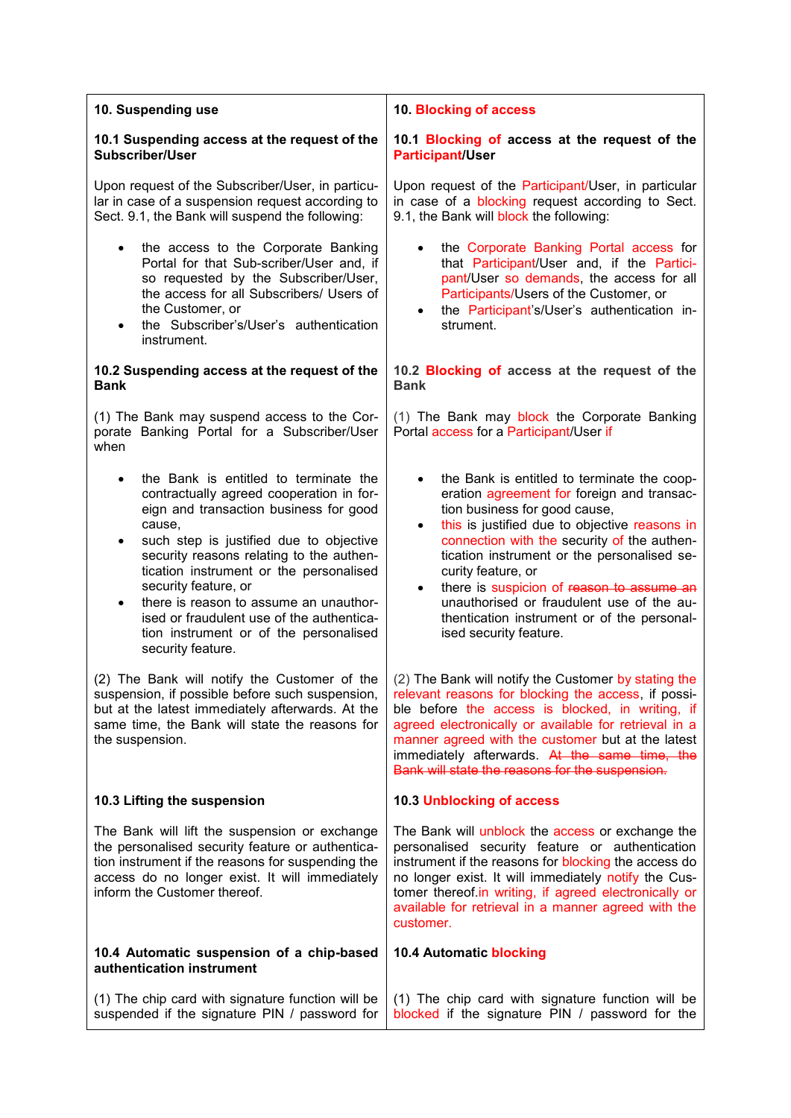| 10. Blocking of access                                                                                                                                                                                                                                                                                                                                                                                                                                                                       |
|----------------------------------------------------------------------------------------------------------------------------------------------------------------------------------------------------------------------------------------------------------------------------------------------------------------------------------------------------------------------------------------------------------------------------------------------------------------------------------------------|
| 10.1 Blocking of access at the request of the<br><b>Participant/User</b>                                                                                                                                                                                                                                                                                                                                                                                                                     |
| Upon request of the Participant/User, in particular<br>in case of a blocking request according to Sect.<br>9.1, the Bank will block the following:                                                                                                                                                                                                                                                                                                                                           |
| the Corporate Banking Portal access for<br>that Participant/User and, if the Partici-<br>pant/User so demands, the access for all<br>Participants/Users of the Customer, or<br>the Participant's/User's authentication in-<br>$\bullet$<br>strument.                                                                                                                                                                                                                                         |
| 10.2 Blocking of access at the request of the<br><b>Bank</b>                                                                                                                                                                                                                                                                                                                                                                                                                                 |
| (1) The Bank may block the Corporate Banking<br>Portal access for a Participant/User if                                                                                                                                                                                                                                                                                                                                                                                                      |
| the Bank is entitled to terminate the coop-<br>eration agreement for foreign and transac-<br>tion business for good cause,<br>this is justified due to objective reasons in<br>$\bullet$<br>connection with the security of the authen-<br>tication instrument or the personalised se-<br>curity feature, or<br>there is suspicion of reason to assume an<br>$\bullet$<br>unauthorised or fraudulent use of the au-<br>thentication instrument or of the personal-<br>ised security feature. |
| (2) The Bank will notify the Customer by stating the<br>relevant reasons for blocking the access, if possi-<br>ble before the access is blocked, in writing, if<br>agreed electronically or available for retrieval in a<br>manner agreed with the customer but at the latest<br>immediately afterwards. At the same time, the<br>Bank will state the reasons for the suspension.                                                                                                            |
| <b>10.3 Unblocking of access</b>                                                                                                                                                                                                                                                                                                                                                                                                                                                             |
| The Bank will unblock the access or exchange the<br>personalised security feature or authentication<br>instrument if the reasons for blocking the access do<br>no longer exist. It will immediately notify the Cus-<br>tomer thereof.in writing, if agreed electronically or<br>available for retrieval in a manner agreed with the<br>customer.                                                                                                                                             |
| 10.4 Automatic blocking                                                                                                                                                                                                                                                                                                                                                                                                                                                                      |
| (1) The chip card with signature function will be<br>blocked if the signature PIN / password for the                                                                                                                                                                                                                                                                                                                                                                                         |
| Portal for that Sub-scriber/User and, if                                                                                                                                                                                                                                                                                                                                                                                                                                                     |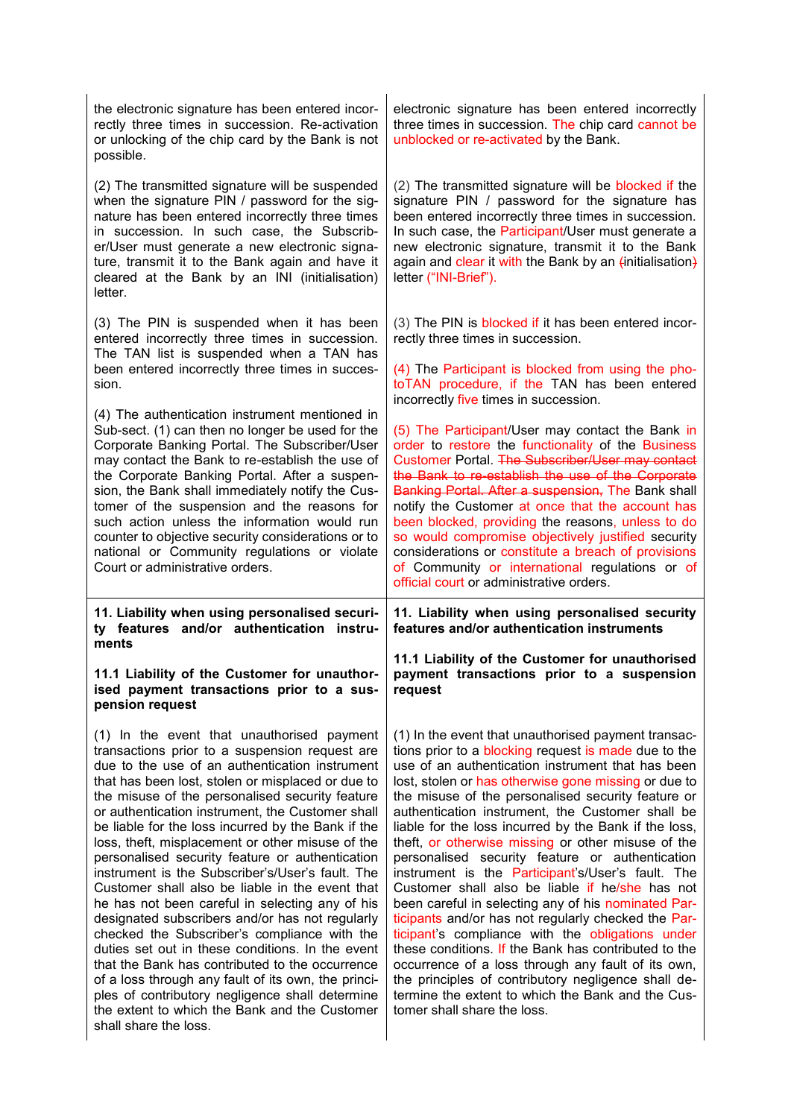| the electronic signature has been entered incor-<br>rectly three times in succession. Re-activation<br>or unlocking of the chip card by the Bank is not<br>possible.                                                                                                                                                                                                                                                                                                                                                                                | electronic signature has been entered incorrectly<br>three times in succession. The chip card cannot be<br>unblocked or re-activated by the Bank.                                                                                                                                                                                                                                                                                                                                                                                                                                       |
|-----------------------------------------------------------------------------------------------------------------------------------------------------------------------------------------------------------------------------------------------------------------------------------------------------------------------------------------------------------------------------------------------------------------------------------------------------------------------------------------------------------------------------------------------------|-----------------------------------------------------------------------------------------------------------------------------------------------------------------------------------------------------------------------------------------------------------------------------------------------------------------------------------------------------------------------------------------------------------------------------------------------------------------------------------------------------------------------------------------------------------------------------------------|
| (2) The transmitted signature will be suspended<br>when the signature PIN / password for the sig-<br>nature has been entered incorrectly three times<br>in succession. In such case, the Subscrib-<br>er/User must generate a new electronic signa-<br>ture, transmit it to the Bank again and have it<br>cleared at the Bank by an INI (initialisation)<br>letter.                                                                                                                                                                                 | (2) The transmitted signature will be blocked if the<br>signature PIN / password for the signature has<br>been entered incorrectly three times in succession.<br>In such case, the Participant/User must generate a<br>new electronic signature, transmit it to the Bank<br>again and clear it with the Bank by an (initialisation)<br>letter ("INI-Brief").                                                                                                                                                                                                                            |
| (3) The PIN is suspended when it has been<br>entered incorrectly three times in succession.<br>The TAN list is suspended when a TAN has<br>been entered incorrectly three times in succes-<br>sion.                                                                                                                                                                                                                                                                                                                                                 | (3) The PIN is blocked if it has been entered incor-<br>rectly three times in succession.<br>(4) The Participant is blocked from using the pho-<br>toTAN procedure, if the TAN has been entered                                                                                                                                                                                                                                                                                                                                                                                         |
| (4) The authentication instrument mentioned in<br>Sub-sect. (1) can then no longer be used for the<br>Corporate Banking Portal. The Subscriber/User<br>may contact the Bank to re-establish the use of<br>the Corporate Banking Portal. After a suspen-<br>sion, the Bank shall immediately notify the Cus-<br>tomer of the suspension and the reasons for<br>such action unless the information would run<br>counter to objective security considerations or to<br>national or Community regulations or violate<br>Court or administrative orders. | incorrectly five times in succession.<br>(5) The Participant/User may contact the Bank in<br>order to restore the functionality of the Business<br>Customer Portal. The Subscriber/User may contact<br>the Bank to re-establish the use of the Corporate<br>Banking Portal. After a suspension, The Bank shall<br>notify the Customer at once that the account has<br>been blocked, providing the reasons, unless to do<br>so would compromise objectively justified security<br>considerations or constitute a breach of provisions<br>of Community or international regulations or of |
|                                                                                                                                                                                                                                                                                                                                                                                                                                                                                                                                                     | official court or administrative orders.                                                                                                                                                                                                                                                                                                                                                                                                                                                                                                                                                |
| 11. Liability when using personalised securi-<br>ty features and/or authentication instru-<br>ments                                                                                                                                                                                                                                                                                                                                                                                                                                                 | 11. Liability when using personalised security<br>features and/or authentication instruments                                                                                                                                                                                                                                                                                                                                                                                                                                                                                            |
| 11.1 Liability of the Customer for unauthor-<br>ised payment transactions prior to a sus-<br>pension request                                                                                                                                                                                                                                                                                                                                                                                                                                        | 11.1 Liability of the Customer for unauthorised<br>payment transactions prior to a suspension<br>request                                                                                                                                                                                                                                                                                                                                                                                                                                                                                |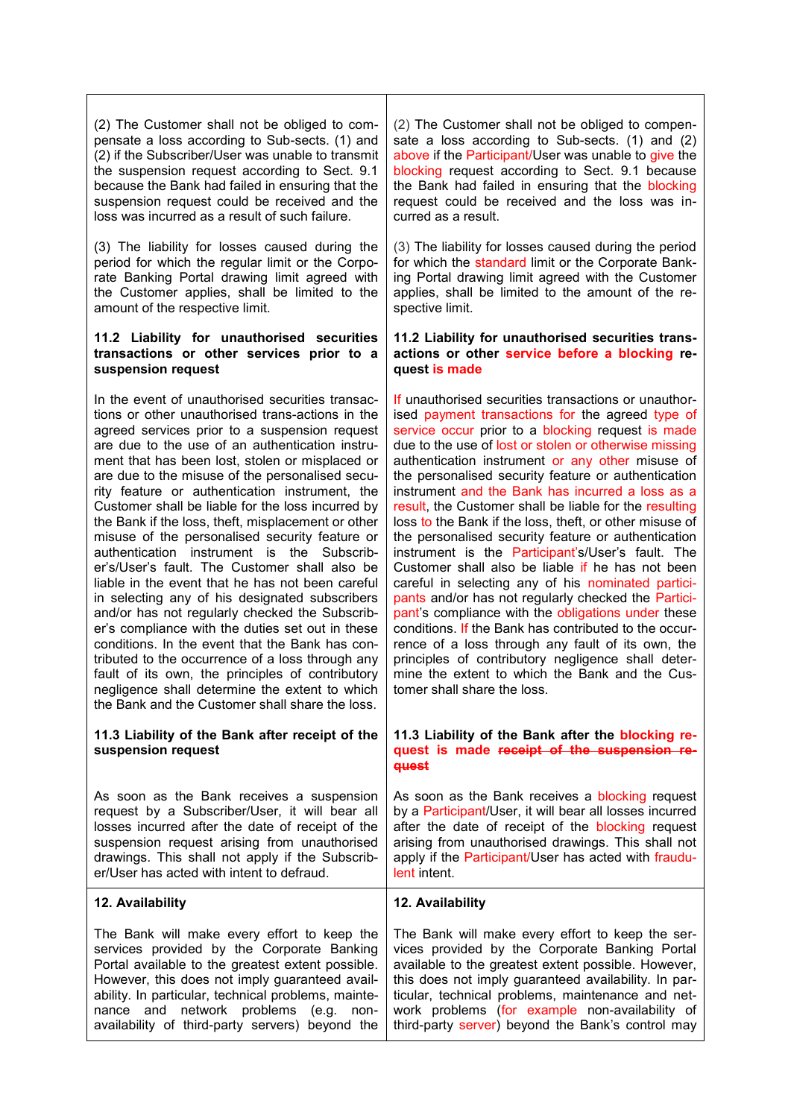(2) The Customer shall not be obliged to compensate a loss according to Sub-sects. (1) and (2) if the Subscriber/User was unable to transmit the suspension request according to Sect. 9.1 because the Bank had failed in ensuring that the suspension request could be received and the loss was incurred as a result of such failure.

(3) The liability for losses caused during the period for which the regular limit or the Corporate Banking Portal drawing limit agreed with the Customer applies, shall be limited to the amount of the respective limit.

### **11.2 Liability for unauthorised securities transactions or other services prior to a suspension request**

In the event of unauthorised securities transactions or other unauthorised trans-actions in the agreed services prior to a suspension request are due to the use of an authentication instrument that has been lost, stolen or misplaced or are due to the misuse of the personalised security feature or authentication instrument, the Customer shall be liable for the loss incurred by the Bank if the loss, theft, misplacement or other misuse of the personalised security feature or authentication instrument is the Subscriber's/User's fault. The Customer shall also be liable in the event that he has not been careful in selecting any of his designated subscribers and/or has not regularly checked the Subscriber's compliance with the duties set out in these conditions. In the event that the Bank has contributed to the occurrence of a loss through any fault of its own, the principles of contributory negligence shall determine the extent to which the Bank and the Customer shall share the loss.

## **11.3 Liability of the Bank after receipt of the suspension request**

As soon as the Bank receives a suspension request by a Subscriber/User, it will bear all losses incurred after the date of receipt of the suspension request arising from unauthorised drawings. This shall not apply if the Subscriber/User has acted with intent to defraud.

**12. Availability**

The Bank will make every effort to keep the services provided by the Corporate Banking Portal available to the greatest extent possible. However, this does not imply guaranteed availability. In particular, technical problems, maintenance and network problems (e.g. nonavailability of third-party servers) beyond the

(2) The Customer shall not be obliged to compensate a loss according to Sub-sects. (1) and (2) above if the Participant/User was unable to give the blocking request according to Sect. 9.1 because the Bank had failed in ensuring that the blocking request could be received and the loss was incurred as a result.

(3) The liability for losses caused during the period for which the standard limit or the Corporate Banking Portal drawing limit agreed with the Customer applies, shall be limited to the amount of the respective limit.

#### **11.2 Liability for unauthorised securities transactions or other service before a blocking request is made**

If unauthorised securities transactions or unauthorised payment transactions for the agreed type of service occur prior to a blocking request is made due to the use of lost or stolen or otherwise missing authentication instrument or any other misuse of the personalised security feature or authentication instrument and the Bank has incurred a loss as a result, the Customer shall be liable for the resulting loss to the Bank if the loss, theft, or other misuse of the personalised security feature or authentication instrument is the Participant's/User's fault. The Customer shall also be liable if he has not been careful in selecting any of his nominated participants and/or has not regularly checked the Participant's compliance with the obligations under these conditions. If the Bank has contributed to the occurrence of a loss through any fault of its own, the principles of contributory negligence shall determine the extent to which the Bank and the Customer shall share the loss.

#### **11.3 Liability of the Bank after the blocking request is made receipt of the suspension request**

As soon as the Bank receives a blocking request by a Participant/User, it will bear all losses incurred after the date of receipt of the blocking request arising from unauthorised drawings. This shall not apply if the Participant/User has acted with fraudulent intent.

# **12. Availability**

The Bank will make every effort to keep the services provided by the Corporate Banking Portal available to the greatest extent possible. However, this does not imply guaranteed availability. In particular, technical problems, maintenance and network problems (for example non-availability of third-party server) beyond the Bank's control may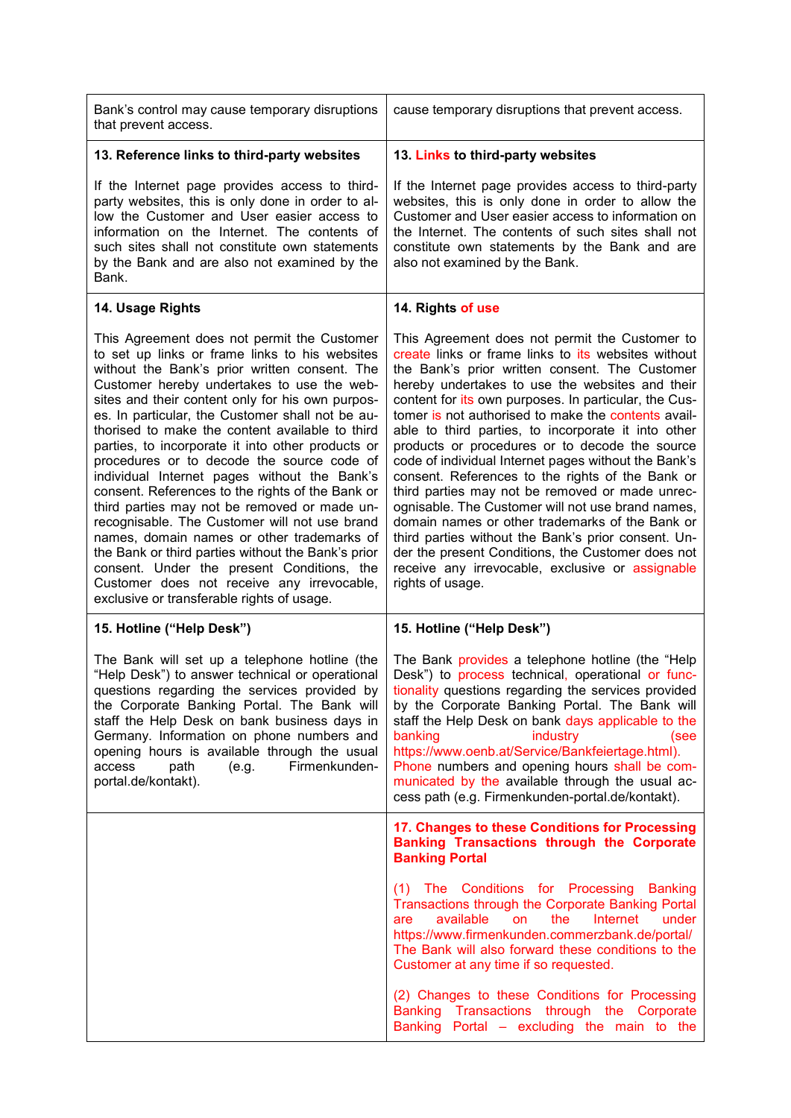| Bank's control may cause temporary disruptions<br>that prevent access.                                                                                                                                                                                                                                                                                                                                                                                                                                                                                                                                                                                                                                                                                                                                                                                                                                        | cause temporary disruptions that prevent access.                                                                                                                                                                                                                                                                                                                                                                                                                                                                                                                                                                                                                                                                                                                                                                                                                                               |
|---------------------------------------------------------------------------------------------------------------------------------------------------------------------------------------------------------------------------------------------------------------------------------------------------------------------------------------------------------------------------------------------------------------------------------------------------------------------------------------------------------------------------------------------------------------------------------------------------------------------------------------------------------------------------------------------------------------------------------------------------------------------------------------------------------------------------------------------------------------------------------------------------------------|------------------------------------------------------------------------------------------------------------------------------------------------------------------------------------------------------------------------------------------------------------------------------------------------------------------------------------------------------------------------------------------------------------------------------------------------------------------------------------------------------------------------------------------------------------------------------------------------------------------------------------------------------------------------------------------------------------------------------------------------------------------------------------------------------------------------------------------------------------------------------------------------|
| 13. Reference links to third-party websites                                                                                                                                                                                                                                                                                                                                                                                                                                                                                                                                                                                                                                                                                                                                                                                                                                                                   | 13. Links to third-party websites                                                                                                                                                                                                                                                                                                                                                                                                                                                                                                                                                                                                                                                                                                                                                                                                                                                              |
| If the Internet page provides access to third-<br>party websites, this is only done in order to al-<br>low the Customer and User easier access to<br>information on the Internet. The contents of<br>such sites shall not constitute own statements<br>by the Bank and are also not examined by the<br>Bank.                                                                                                                                                                                                                                                                                                                                                                                                                                                                                                                                                                                                  | If the Internet page provides access to third-party<br>websites, this is only done in order to allow the<br>Customer and User easier access to information on<br>the Internet. The contents of such sites shall not<br>constitute own statements by the Bank and are<br>also not examined by the Bank.                                                                                                                                                                                                                                                                                                                                                                                                                                                                                                                                                                                         |
| 14. Usage Rights                                                                                                                                                                                                                                                                                                                                                                                                                                                                                                                                                                                                                                                                                                                                                                                                                                                                                              | 14. Rights of use                                                                                                                                                                                                                                                                                                                                                                                                                                                                                                                                                                                                                                                                                                                                                                                                                                                                              |
| This Agreement does not permit the Customer<br>to set up links or frame links to his websites<br>without the Bank's prior written consent. The<br>Customer hereby undertakes to use the web-<br>sites and their content only for his own purpos-<br>es. In particular, the Customer shall not be au-<br>thorised to make the content available to third<br>parties, to incorporate it into other products or<br>procedures or to decode the source code of<br>individual Internet pages without the Bank's<br>consent. References to the rights of the Bank or<br>third parties may not be removed or made un-<br>recognisable. The Customer will not use brand<br>names, domain names or other trademarks of<br>the Bank or third parties without the Bank's prior<br>consent. Under the present Conditions, the<br>Customer does not receive any irrevocable,<br>exclusive or transferable rights of usage. | This Agreement does not permit the Customer to<br>create links or frame links to its websites without<br>the Bank's prior written consent. The Customer<br>hereby undertakes to use the websites and their<br>content for its own purposes. In particular, the Cus-<br>tomer is not authorised to make the contents avail-<br>able to third parties, to incorporate it into other<br>products or procedures or to decode the source<br>code of individual Internet pages without the Bank's<br>consent. References to the rights of the Bank or<br>third parties may not be removed or made unrec-<br>ognisable. The Customer will not use brand names,<br>domain names or other trademarks of the Bank or<br>third parties without the Bank's prior consent. Un-<br>der the present Conditions, the Customer does not<br>receive any irrevocable, exclusive or assignable<br>rights of usage. |
| 15. Hotline ("Help Desk")                                                                                                                                                                                                                                                                                                                                                                                                                                                                                                                                                                                                                                                                                                                                                                                                                                                                                     | 15. Hotline ("Help Desk")                                                                                                                                                                                                                                                                                                                                                                                                                                                                                                                                                                                                                                                                                                                                                                                                                                                                      |
| The Bank will set up a telephone hotline (the<br>"Help Desk") to answer technical or operational<br>questions regarding the services provided by<br>the Corporate Banking Portal. The Bank will<br>staff the Help Desk on bank business days in<br>Germany. Information on phone numbers and<br>opening hours is available through the usual<br>Firmenkunden-<br>access<br>path<br>(e.g.<br>portal.de/kontakt).                                                                                                                                                                                                                                                                                                                                                                                                                                                                                               | The Bank provides a telephone hotline (the "Help"<br>Desk") to process technical, operational or func-<br>tionality questions regarding the services provided<br>by the Corporate Banking Portal. The Bank will<br>staff the Help Desk on bank days applicable to the<br>banking<br>industry<br>(see<br>https://www.oenb.at/Service/Bankfeiertage.html).<br>Phone numbers and opening hours shall be com-<br>municated by the available through the usual ac-<br>cess path (e.g. Firmenkunden-portal.de/kontakt).<br>17. Changes to these Conditions for Processing                                                                                                                                                                                                                                                                                                                            |
|                                                                                                                                                                                                                                                                                                                                                                                                                                                                                                                                                                                                                                                                                                                                                                                                                                                                                                               | <b>Banking Transactions through the Corporate</b><br><b>Banking Portal</b>                                                                                                                                                                                                                                                                                                                                                                                                                                                                                                                                                                                                                                                                                                                                                                                                                     |
|                                                                                                                                                                                                                                                                                                                                                                                                                                                                                                                                                                                                                                                                                                                                                                                                                                                                                                               | The Conditions for Processing<br><b>Banking</b><br>(1)<br>Transactions through the Corporate Banking Portal<br>available<br>the<br>Internet<br>under<br>are<br><b>on</b><br>https://www.firmenkunden.commerzbank.de/portal/<br>The Bank will also forward these conditions to the<br>Customer at any time if so requested.                                                                                                                                                                                                                                                                                                                                                                                                                                                                                                                                                                     |
|                                                                                                                                                                                                                                                                                                                                                                                                                                                                                                                                                                                                                                                                                                                                                                                                                                                                                                               | (2) Changes to these Conditions for Processing<br>Transactions through the Corporate<br><b>Banking</b><br>Banking Portal – excluding the main to the                                                                                                                                                                                                                                                                                                                                                                                                                                                                                                                                                                                                                                                                                                                                           |